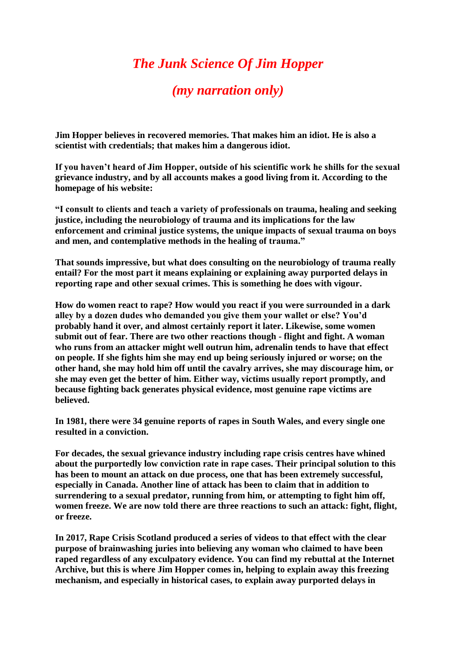## *The Junk Science Of Jim Hopper*

## *(my narration only)*

**Jim Hopper believes in recovered memories. That makes him an idiot. He is also a scientist with credentials; that makes him a dangerous idiot.**

**If you haven't heard of Jim Hopper, outside of his scientific work he shills for the sexual grievance industry, and by all accounts makes a good living from it. According to the homepage of his website:**

**"I consult to clients and teach a variety of professionals on trauma, healing and seeking justice, including the neurobiology of trauma and its implications for the law enforcement and criminal justice systems, the unique impacts of sexual trauma on boys and men, and contemplative methods in the healing of trauma."**

**That sounds impressive, but what does consulting on the neurobiology of trauma really entail? For the most part it means explaining or explaining away purported delays in reporting rape and other sexual crimes. This is something he does with vigour.**

**How do women react to rape? How would you react if you were surrounded in a dark alley by a dozen dudes who demanded you give them your wallet or else? You'd probably hand it over, and almost certainly report it later. Likewise, some women submit out of fear. There are two other reactions though - flight and fight. A woman who runs from an attacker might well outrun him, adrenalin tends to have that effect on people. If she fights him she may end up being seriously injured or worse; on the other hand, she may hold him off until the cavalry arrives, she may discourage him, or she may even get the better of him. Either way, victims usually report promptly, and because fighting back generates physical evidence, most genuine rape victims are believed.**

**In 1981, there were 34 genuine reports of rapes in South Wales, and every single one resulted in a conviction.** 

**For decades, the sexual grievance industry including rape crisis centres have whined about the purportedly low conviction rate in rape cases. Their principal solution to this has been to mount an attack on due process, one that has been extremely successful, especially in Canada. Another line of attack has been to claim that in addition to surrendering to a sexual predator, running from him, or attempting to fight him off, women freeze. We are now told there are three reactions to such an attack: fight, flight, or freeze.**

**In 2017, Rape Crisis Scotland produced a series of videos to that effect with the clear purpose of brainwashing juries into believing any woman who claimed to have been raped regardless of any exculpatory evidence. You can find my rebuttal at the Internet Archive, but this is where Jim Hopper comes in, helping to explain away this freezing mechanism, and especially in historical cases, to explain away purported delays in**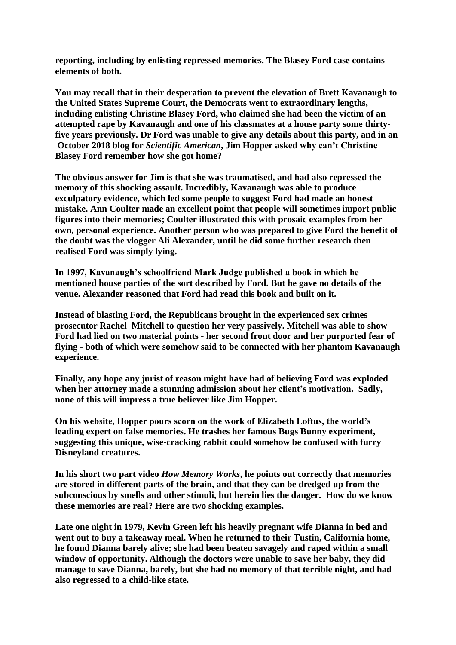**reporting, including by enlisting repressed memories. The Blasey Ford case contains elements of both.**

**You may recall that in their desperation to prevent the elevation of Brett Kavanaugh to the United States Supreme Court, the Democrats went to extraordinary lengths, including enlisting Christine Blasey Ford, who claimed she had been the victim of an attempted rape by Kavanaugh and one of his classmates at a house party some thirtyfive years previously. Dr Ford was unable to give any details about this party, and in an October 2018 blog for** *Scientific American***, Jim Hopper asked why can't Christine Blasey Ford remember how she got home?**

**The obvious answer for Jim is that she was traumatised, and had also repressed the memory of this shocking assault. Incredibly, Kavanaugh was able to produce exculpatory evidence, which led some people to suggest Ford had made an honest mistake. Ann Coulter made an excellent point that people will sometimes import public figures into their memories; Coulter illustrated this with prosaic examples from her own, personal experience. Another person who was prepared to give Ford the benefit of the doubt was the vlogger Ali Alexander, until he did some further research then realised Ford was simply lying.**

**In 1997, Kavanaugh's schoolfriend Mark Judge published a book in which he mentioned house parties of the sort described by Ford. But he gave no details of the venue. Alexander reasoned that Ford had read this book and built on it.**

**Instead of blasting Ford, the Republicans brought in the experienced sex crimes prosecutor Rachel Mitchell to question her very passively. Mitchell was able to show Ford had lied on two material points - her second front door and her purported fear of flying - both of which were somehow said to be connected with her phantom Kavanaugh experience.**

**Finally, any hope any jurist of reason might have had of believing Ford was exploded when her attorney made a stunning admission about her client's motivation. Sadly, none of this will impress a true believer like Jim Hopper.**

**On his website, Hopper pours scorn on the work of Elizabeth Loftus, the world's leading expert on false memories. He trashes her famous Bugs Bunny experiment, suggesting this unique, wise-cracking rabbit could somehow be confused with furry Disneyland creatures.**

**In his short two part video** *How Memory Works***, he points out correctly that memories are stored in different parts of the brain, and that they can be dredged up from the subconscious by smells and other stimuli, but herein lies the danger. How do we know these memories are real? Here are two shocking examples.**

**Late one night in 1979, Kevin Green left his heavily pregnant wife Dianna in bed and went out to buy a takeaway meal. When he returned to their Tustin, California home, he found Dianna barely alive; she had been beaten savagely and raped within a small window of opportunity. Although the doctors were unable to save her baby, they did manage to save Dianna, barely, but she had no memory of that terrible night, and had also regressed to a child-like state.**